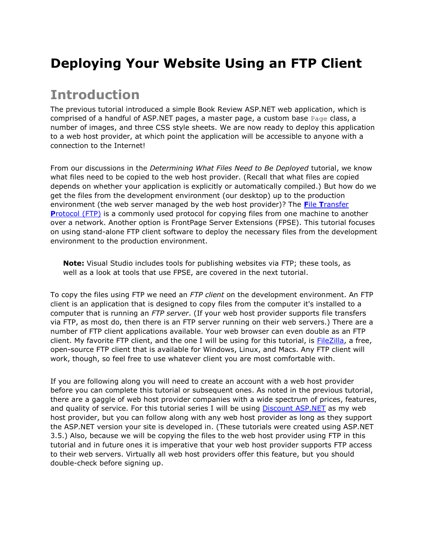## **Deploying Your Website Using an FTP Client**

### **Introduction**

The previous tutorial introduced a simple Book Review ASP.NET web application, which is comprised of a handful of ASP.NET pages, a master page, a custom base  $P_{\text{aqe}}$  class, a number of images, and three CSS style sheets. We are now ready to deploy this application to a web host provider, at which point the application will be accessible to anyone with a connection to the Internet!

From our discussions in the *Determining What Files Need to Be Deployed* tutorial, we know what files need to be copied to the web host provider. (Recall that what files are copied depends on whether your application is explicitly or automatically compiled.) But how do we get the files from the development environment (our desktop) up to the production environment (the web server managed by the web host provider)? The **F**ile **T**[ransfer](http://en.wikipedia.org/wiki/File_Transfer_Protocol)  **P**[rotocol \(FTP\)](http://en.wikipedia.org/wiki/File_Transfer_Protocol) is a commonly used protocol for copying files from one machine to another over a network. Another option is FrontPage Server Extensions (FPSE). This tutorial focuses on using stand-alone FTP client software to deploy the necessary files from the development environment to the production environment.

**Note:** Visual Studio includes tools for publishing websites via FTP; these tools, as well as a look at tools that use FPSE, are covered in the next tutorial.

To copy the files using FTP we need an *FTP client* on the development environment. An FTP client is an application that is designed to copy files from the computer it's installed to a computer that is running an *FTP server*. (If your web host provider supports file transfers via FTP, as most do, then there is an FTP server running on their web servers.) There are a number of FTP client applications available. Your web browser can even double as an FTP client. My favorite FTP client, and the one I will be using for this tutorial, is [FileZilla,](http://filezilla-project.org/) a free, open-source FTP client that is available for Windows, Linux, and Macs. Any FTP client will work, though, so feel free to use whatever client you are most comfortable with.

If you are following along you will need to create an account with a web host provider before you can complete this tutorial or subsequent ones. As noted in the previous tutorial, there are a gaggle of web host provider companies with a wide spectrum of prices, features, and quality of service. For this tutorial series I will be using [Discount ASP.NET](http://discountasp.net/) as my web host provider, but you can follow along with any web host provider as long as they support the ASP.NET version your site is developed in. (These tutorials were created using ASP.NET 3.5.) Also, because we will be copying the files to the web host provider using FTP in this tutorial and in future ones it is imperative that your web host provider supports FTP access to their web servers. Virtually all web host providers offer this feature, but you should double-check before signing up.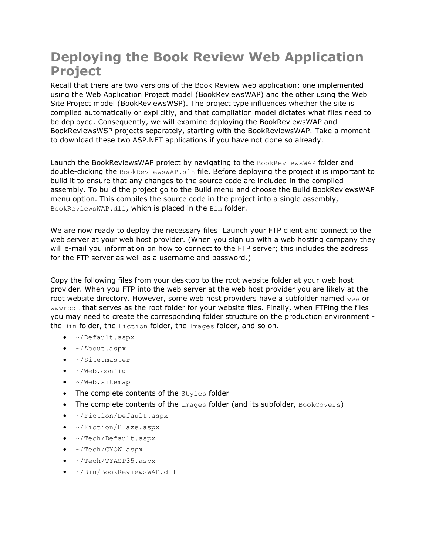## **Deploying the Book Review Web Application Project**

Recall that there are two versions of the Book Review web application: one implemented using the Web Application Project model (BookReviewsWAP) and the other using the Web Site Project model (BookReviewsWSP). The project type influences whether the site is compiled automatically or explicitly, and that compilation model dictates what files need to be deployed. Consequently, we will examine deploying the BookReviewsWAP and BookReviewsWSP projects separately, starting with the BookReviewsWAP. Take a moment to download these two ASP.NET applications if you have not done so already.

Launch the BookReviewsWAP project by navigating to the BookReviewsWAP folder and double-clicking the BookReviewsWAP.sln file. Before deploying the project it is important to build it to ensure that any changes to the source code are included in the compiled assembly. To build the project go to the Build menu and choose the Build BookReviewsWAP menu option. This compiles the source code in the project into a single assembly, BookReviewsWAP.dll, which is placed in the Bin folder.

We are now ready to deploy the necessary files! Launch your FTP client and connect to the web server at your web host provider. (When you sign up with a web hosting company they will e-mail you information on how to connect to the FTP server; this includes the address for the FTP server as well as a username and password.)

Copy the following files from your desktop to the root website folder at your web host provider. When you FTP into the web server at the web host provider you are likely at the root website directory. However, some web host providers have a subfolder named www or wwwroot that serves as the root folder for your website files. Finally, when FTPing the files you may need to create the corresponding folder structure on the production environment the Bin folder, the Fiction folder, the Images folder, and so on.

- ~/Default.aspx
- ~/About.aspx
- ~/Site.master
- $\bullet$  ~/Web.config
- ~/Web.sitemap
- The complete contents of the Styles folder
- The complete contents of the Images folder (and its subfolder, BookCovers)
- ~/Fiction/Default.aspx
- ~/Fiction/Blaze.aspx
- ~/Tech/Default.aspx
- $\sim$ /Tech/CYOW.aspx
- ~/Tech/TYASP35.aspx
- ~/Bin/BookReviewsWAP.dll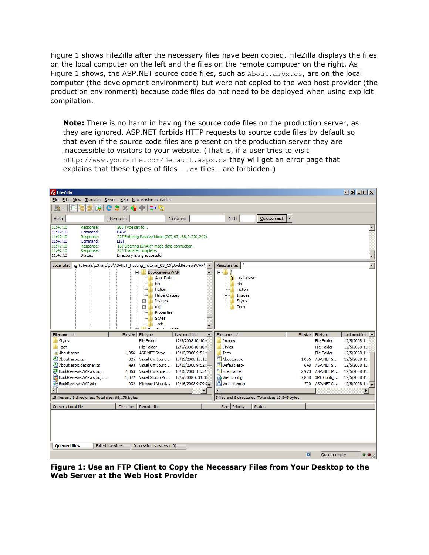Figure 1 shows FileZilla after the necessary files have been copied. FileZilla displays the files on the local computer on the left and the files on the remote computer on the right. As Figure 1 shows, the ASP.NET source code files, such as About.aspx.cs, are on the local computer (the development environment) but were not copied to the web host provider (the production environment) because code files do not need to be deployed when using explicit compilation.

**Note:** There is no harm in having the source code files on the production server, as they are ignored. ASP.NET forbids HTTP requests to source code files by default so that even if the source code files are present on the production server they are inaccessible to visitors to your website. (That is, if a user tries to visit http://www.yoursite.com/Default.aspx.cs they will get an error page that explains that these types of files  $-$  .  $cs$  files  $-$  are forbidden.)

| $E$ FileZilla                                                                                                                                                                                                                                                  |                                                                            |                                                                                                                                                                                                                                                                                       |                                    |                                          |                                                                                                  |               |   |                                     | <u>한데 미미지</u>                                                            |  |  |
|----------------------------------------------------------------------------------------------------------------------------------------------------------------------------------------------------------------------------------------------------------------|----------------------------------------------------------------------------|---------------------------------------------------------------------------------------------------------------------------------------------------------------------------------------------------------------------------------------------------------------------------------------|------------------------------------|------------------------------------------|--------------------------------------------------------------------------------------------------|---------------|---|-------------------------------------|--------------------------------------------------------------------------|--|--|
| Server Help New version available!<br>File Edit View Transfer                                                                                                                                                                                                  |                                                                            |                                                                                                                                                                                                                                                                                       |                                    |                                          |                                                                                                  |               |   |                                     |                                                                          |  |  |
| ≛■固<br><u>le</u><br>魯<br><b>GEIO</b><br>×                                                                                                                                                                                                                      |                                                                            |                                                                                                                                                                                                                                                                                       |                                    |                                          |                                                                                                  |               |   |                                     |                                                                          |  |  |
| Host:                                                                                                                                                                                                                                                          | Username:                                                                  |                                                                                                                                                                                                                                                                                       | Password:                          |                                          | Port:                                                                                            | Quickconnect  | ▼ |                                     |                                                                          |  |  |
| 11:47:10<br>Response:<br>11:47:10<br>Command:<br>11:47:10<br>Response:<br>11:47:10<br>Command:<br>11:47:10<br>Response:<br>11:47:10<br>Response:<br>11:47:10<br>Status:<br>Local site:<br>Ig Tutorials\CSharp\03\ASPNET_Hosting_Tutorial_03_CS\BookReviewsWAP\ | 200 Type set to I.<br><b>PASV</b><br><b>LIST</b><br>226 Transfer complete. | 227 Entering Passive Mode (209,67,188,9,220,242).<br>150 Opening BINARY mode data connection.<br>Directory listing successful<br><b>BookReviewsWAP</b><br>白…<br>App Data<br>bin<br>Fiction<br><b>HelperClasses</b><br>Images<br>田<br>Ėŀ<br>obj<br>Properties<br><b>Styles</b><br>Tech |                                    | $\blacktriangle$                         | Remote site:<br>$\Box$ /<br>P.<br>_database<br>bin<br>Fiction<br>Images<br><b>Styles</b><br>Tech |               |   |                                     | $\blacktriangle$<br>$\overline{\phantom{0}}$<br>$\overline{\phantom{a}}$ |  |  |
|                                                                                                                                                                                                                                                                |                                                                            |                                                                                                                                                                                                                                                                                       |                                    | $\blacktriangledown$<br>$\blacktriangle$ |                                                                                                  |               |   |                                     |                                                                          |  |  |
| Filename A<br><b>Styles</b>                                                                                                                                                                                                                                    | Filesize                                                                   | Filetype<br><b>File Folder</b>                                                                                                                                                                                                                                                        | Last modified<br>12/5/2008 10:10:4 |                                          | Filename /<br><b>Inages</b>                                                                      |               |   | Filetype<br>Filesize<br>File Folder | Last modified $\rightarrow$<br>12/5/2008 11:                             |  |  |
| <b>Tech</b>                                                                                                                                                                                                                                                    |                                                                            | <b>File Folder</b>                                                                                                                                                                                                                                                                    | 12/5/2008 10:10:4                  |                                          | Styles                                                                                           |               |   | <b>File Folder</b>                  | 12/5/2008 11:                                                            |  |  |
| <b>iiii</b> About.aspx                                                                                                                                                                                                                                         |                                                                            | 1,056 ASP.NET Serve                                                                                                                                                                                                                                                                   | 10/16/2008 9:54:4                  |                                          | <b>Tech</b>                                                                                      |               |   | File Folder                         | 12/5/2008 11:                                                            |  |  |
| 옌 About.aspx.cs                                                                                                                                                                                                                                                | 325                                                                        | Visual C# Sourc                                                                                                                                                                                                                                                                       | 10/16/2008 10:12                   |                                          | <b>ia</b> About.aspx                                                                             |               |   | 1.056 ASP.NET S                     | 12/5/2008 11:                                                            |  |  |
| 셸 About.aspx.designer.cs                                                                                                                                                                                                                                       | 493                                                                        | Visual C# Sourc                                                                                                                                                                                                                                                                       | 10/16/2008 9:52:                   |                                          | <b>iii</b> Default.aspx                                                                          |               |   | 648 ASP.NET S                       | 12/5/2008 11:                                                            |  |  |
| <b>BookReviewsWAP.csproj</b>                                                                                                                                                                                                                                   | 7,053                                                                      | Visual C# Proje                                                                                                                                                                                                                                                                       | 10/16/2008 10:51                   |                                          | <b>iz</b> Site.master                                                                            |               |   | 2,973 ASP.NET M                     | 12/5/2008 11:                                                            |  |  |
| BookReviewsWAP.csproj                                                                                                                                                                                                                                          | 1,372                                                                      | Visual Studio Pr                                                                                                                                                                                                                                                                      | 12/5/2008 9:31:33                  |                                          | Web.config                                                                                       |               |   | XML Config<br>7,868                 | 12/5/2008 11:                                                            |  |  |
| BookReviewsWAP.sln                                                                                                                                                                                                                                             |                                                                            | 932 Microsoft Visual                                                                                                                                                                                                                                                                  | 10/16/2008 9:29:1                  |                                          | 益 Web.sitemap                                                                                    |               |   | ASP.NET Si<br>700                   | $12/5/2008$ $11:$                                                        |  |  |
|                                                                                                                                                                                                                                                                |                                                                            |                                                                                                                                                                                                                                                                                       | ▶                                  |                                          | $\blacksquare$                                                                                   |               |   |                                     | $\blacktriangleright$                                                    |  |  |
| 15 files and 9 directories. Total size: 68, 178 bytes<br>5 files and 6 directories. Total size: 13,245 bytes                                                                                                                                                   |                                                                            |                                                                                                                                                                                                                                                                                       |                                    |                                          |                                                                                                  |               |   |                                     |                                                                          |  |  |
| Server / Local file                                                                                                                                                                                                                                            | Direction                                                                  | Remote file                                                                                                                                                                                                                                                                           |                                    |                                          | Priority<br><b>Size</b>                                                                          | <b>Status</b> |   |                                     |                                                                          |  |  |
| <b>Oueued files</b><br><b>Failed transfers</b>                                                                                                                                                                                                                 |                                                                            | Successful transfers (19)                                                                                                                                                                                                                                                             |                                    |                                          |                                                                                                  |               |   |                                     |                                                                          |  |  |
|                                                                                                                                                                                                                                                                |                                                                            |                                                                                                                                                                                                                                                                                       |                                    |                                          |                                                                                                  |               |   | ł0<br>Queue: empty                  | $\bullet\bullet$                                                         |  |  |

**Figure 1: Use an FTP Client to Copy the Necessary Files from Your Desktop to the Web Server at the Web Host Provider**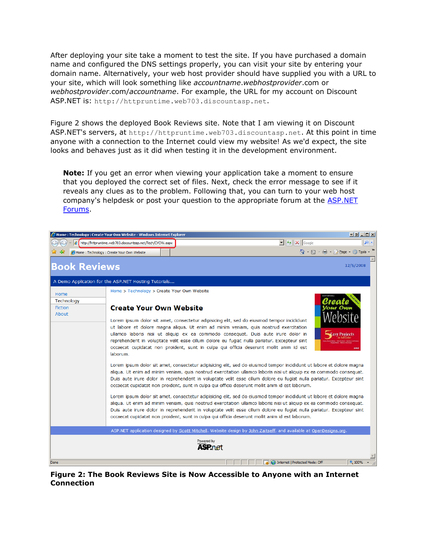After deploying your site take a moment to test the site. If you have purchased a domain name and configured the DNS settings properly, you can visit your site by entering your domain name. Alternatively, your web host provider should have supplied you with a URL to your site, which will look something like *accountname*.*webhostprovider*.com or *webhostprovider*.com/*accountname*. For example, the URL for my account on Discount ASP.NET is: http://httpruntime.web703.discountasp.net.

Figure 2 shows the deployed Book Reviews site. Note that I am viewing it on Discount ASP.NET's servers, at http://httpruntime.web703.discountasp.net. At this point in time anyone with a connection to the Internet could view my website! As we'd expect, the site looks and behaves just as it did when testing it in the development environment.

**Note:** If you get an error when viewing your application take a moment to ensure that you deployed the correct set of files. Next, check the error message to see if it reveals any clues as to the problem. Following that, you can turn to your web host company's helpdesk or post your question to the appropriate forum at the **ASP.NET** [Forums.](http://forums.asp.net/)



**Figure 2: The Book Reviews Site is Now Accessible to Anyone with an Internet Connection**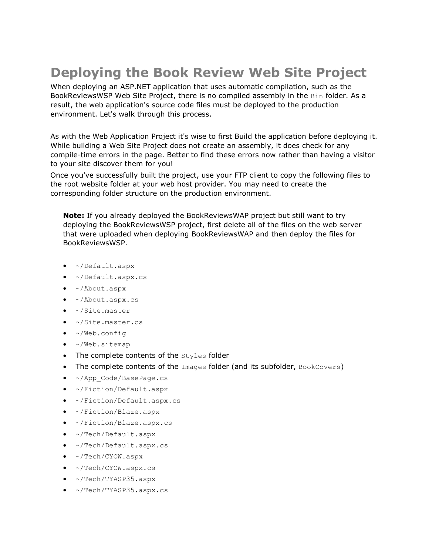# **Deploying the Book Review Web Site Project**

When deploying an ASP.NET application that uses automatic compilation, such as the BookReviewsWSP Web Site Project, there is no compiled assembly in the Bin folder. As a result, the web application's source code files must be deployed to the production environment. Let's walk through this process.

As with the Web Application Project it's wise to first Build the application before deploying it. While building a Web Site Project does not create an assembly, it does check for any compile-time errors in the page. Better to find these errors now rather than having a visitor to your site discover them for you!

Once you've successfully built the project, use your FTP client to copy the following files to the root website folder at your web host provider. You may need to create the corresponding folder structure on the production environment.

**Note:** If you already deployed the BookReviewsWAP project but still want to try deploying the BookReviewsWSP project, first delete all of the files on the web server that were uploaded when deploying BookReviewsWAP and then deploy the files for BookReviewsWSP.

- ~/Default.aspx
- ~/Default.aspx.cs
- ~/About.aspx
- $\sim$ /About.aspx.cs
- ~/Site.master
- ~/Site.master.cs
- ~/Web.config
- $\bullet$  ~/Web.sitemap
- $\bullet$  The complete contents of the  $\text{styles}$  folder
- The complete contents of the Images folder (and its subfolder, BookCovers)
- ~/App\_Code/BasePage.cs
- ~/Fiction/Default.aspx
- ~/Fiction/Default.aspx.cs
- ~/Fiction/Blaze.aspx
- ~/Fiction/Blaze.aspx.cs
- ~/Tech/Default.aspx
- ~/Tech/Default.aspx.cs
- ~/Tech/CYOW.aspx
- $\sim$ /Tech/CYOW.aspx.cs
- ~/Tech/TYASP35.aspx
- ~/Tech/TYASP35.aspx.cs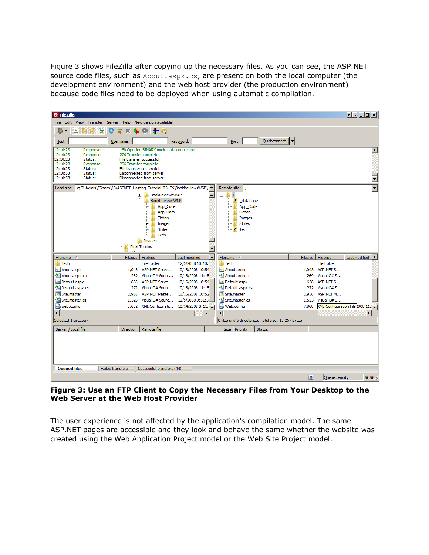Figure 3 shows FileZilla after copying up the necessary files. As you can see, the ASP.NET source code files, such as About.aspx.cs, are present on both the local computer (the development environment) and the web host provider (the production environment) because code files need to be deployed when using automatic compilation.

| <b>E</b> FileZilla                                                                                                                                                                 |                            |                                                                                                                                                                                                                                                                                                                                                                 |                                                                                            |                                                                                                                |                                                     |                                  | 한테 나마지                                            |  |  |
|------------------------------------------------------------------------------------------------------------------------------------------------------------------------------------|----------------------------|-----------------------------------------------------------------------------------------------------------------------------------------------------------------------------------------------------------------------------------------------------------------------------------------------------------------------------------------------------------------|--------------------------------------------------------------------------------------------|----------------------------------------------------------------------------------------------------------------|-----------------------------------------------------|----------------------------------|---------------------------------------------------|--|--|
| File<br>Edit View<br>Transfer<br>Help New version available!<br>Server                                                                                                             |                            |                                                                                                                                                                                                                                                                                                                                                                 |                                                                                            |                                                                                                                |                                                     |                                  |                                                   |  |  |
| <u>R</u><br>¥<br>٠                                                                                                                                                                 | 魯<br>$\boldsymbol{\times}$ | ➡◎<br><b>BE IST</b>                                                                                                                                                                                                                                                                                                                                             |                                                                                            |                                                                                                                |                                                     |                                  |                                                   |  |  |
| Host:                                                                                                                                                                              | Username:                  |                                                                                                                                                                                                                                                                                                                                                                 | Password:                                                                                  | Port:                                                                                                          | Quickconnect<br>$\blacktriangledown$                |                                  |                                                   |  |  |
| 12:10:23<br>Response:<br>12:10:23<br>Response:<br>12:10:23<br>Status:<br>12:10:23<br>Response:<br>12:10:23<br>Status:<br>12:10:53<br>Status:<br>12:10:53<br>Status:<br>Local site: |                            | 150 Opening BINARY mode data connection.<br>226 Transfer complete.<br>File transfer successful<br>226 Transfer complete.<br>File transfer successful<br>Disconnected from server<br>Disconnected from server<br><b>BookReviewsWAP</b><br>田…<br><b>BookReviewsWSP</b><br>日…<br>App_Code<br>App Data<br>Fiction<br>Images<br>曱<br><b>Styles</b><br>Tech<br>Images | 1g Tutorials\CSharp\03\ASPNET_Hosting_Tutorial_03_CS\BookReviewsWSP\ \<br>$\blacktriangle$ | Remote site:<br><b>Bullet</b><br>? database<br>App_Code<br>Fiction<br>Images<br><b>Styles</b><br><b>2</b> Tech |                                                     |                                  | $\blacktriangle$<br>$\overline{\phantom{0}}$<br>∓ |  |  |
|                                                                                                                                                                                    |                            | <b>Final Turnins</b>                                                                                                                                                                                                                                                                                                                                            | $\overline{\phantom{a}}$                                                                   |                                                                                                                |                                                     |                                  |                                                   |  |  |
| Filename A                                                                                                                                                                         |                            | Filesize Filetype                                                                                                                                                                                                                                                                                                                                               | $\blacktriangle$<br>Last modified                                                          | Filename /                                                                                                     |                                                     | Filesize Filetype                | Last modified <                                   |  |  |
| <b>Tech</b>                                                                                                                                                                        |                            | <b>File Folder</b>                                                                                                                                                                                                                                                                                                                                              | 12/5/2008 10:10:4                                                                          | <b>Tech</b>                                                                                                    |                                                     | File Folder                      |                                                   |  |  |
| <b>iiii</b> About.aspx                                                                                                                                                             |                            | 1,043 ASP.NET Serve                                                                                                                                                                                                                                                                                                                                             | 10/16/2008 10:54                                                                           | <b>iiii</b> About.aspx                                                                                         |                                                     | 1.043 ASP.NET S                  |                                                   |  |  |
| <sup>生</sup> About.aspx.cs                                                                                                                                                         |                            | 269 Visual C# Sourc                                                                                                                                                                                                                                                                                                                                             | 10/16/2008 11:15                                                                           | <sup>d</sup> About.aspx.cs                                                                                     |                                                     | 269 Visual C# S<br>636 ASP.NET S |                                                   |  |  |
| <b>iii</b> Default.aspx<br>给 Default.aspx.cs                                                                                                                                       |                            | 636 ASP.NET Serve<br>272 Visual C# Sourc                                                                                                                                                                                                                                                                                                                        | 10/16/2008 10:54<br>10/16/2008 11:15                                                       | <b>iii</b> Default.aspx<br><sup>d</sup> Default.aspx.cs                                                        |                                                     | 272 Visual C# S                  |                                                   |  |  |
| <b>ial</b> Site, master                                                                                                                                                            | 2.956                      | ASP.NET Maste                                                                                                                                                                                                                                                                                                                                                   | 10/16/2008 10:52                                                                           | <b>iEl Site, master</b>                                                                                        |                                                     | 2.956 ASP.NET M                  |                                                   |  |  |
| <sup>d</sup> Site.master.cs                                                                                                                                                        |                            | 1,523 Visual C# Sourc                                                                                                                                                                                                                                                                                                                                           | 12/5/2008 9:51:30                                                                          | <sup>c#</sup> Site.master.cs                                                                                   |                                                     | 1,523 Visual C# S                |                                                   |  |  |
| web.config                                                                                                                                                                         |                            | 8,682 XML Configurati                                                                                                                                                                                                                                                                                                                                           | 10/14/20083:11:(                                                                           | Web.config                                                                                                     | 7,868                                               |                                  | XML Configuration File 2008 11:                   |  |  |
| ग                                                                                                                                                                                  |                            |                                                                                                                                                                                                                                                                                                                                                                 | $\blacktriangleright$                                                                      | $\overline{1}$                                                                                                 |                                                     |                                  | $\blacktriangleright$                             |  |  |
| Selected 1 directory.                                                                                                                                                              |                            |                                                                                                                                                                                                                                                                                                                                                                 |                                                                                            |                                                                                                                | 8 files and 6 directories. Total size: 15,267 bytes |                                  |                                                   |  |  |
| Server / Local file                                                                                                                                                                | <b>Direction</b>           | Remote file                                                                                                                                                                                                                                                                                                                                                     |                                                                                            | Size Priority                                                                                                  | <b>Status</b>                                       |                                  |                                                   |  |  |
|                                                                                                                                                                                    |                            |                                                                                                                                                                                                                                                                                                                                                                 |                                                                                            |                                                                                                                |                                                     |                                  |                                                   |  |  |
| <b>Queued files</b>                                                                                                                                                                | <b>Failed transfers</b>    | Successful transfers (44)                                                                                                                                                                                                                                                                                                                                       |                                                                                            |                                                                                                                |                                                     |                                  |                                                   |  |  |
|                                                                                                                                                                                    |                            |                                                                                                                                                                                                                                                                                                                                                                 |                                                                                            |                                                                                                                |                                                     | ۰<br>Oueue: empty                | . .                                               |  |  |

#### **Figure 3: Use an FTP Client to Copy the Necessary Files from Your Desktop to the Web Server at the Web Host Provider**

The user experience is not affected by the application's compilation model. The same ASP.NET pages are accessible and they look and behave the same whether the website was created using the Web Application Project model or the Web Site Project model.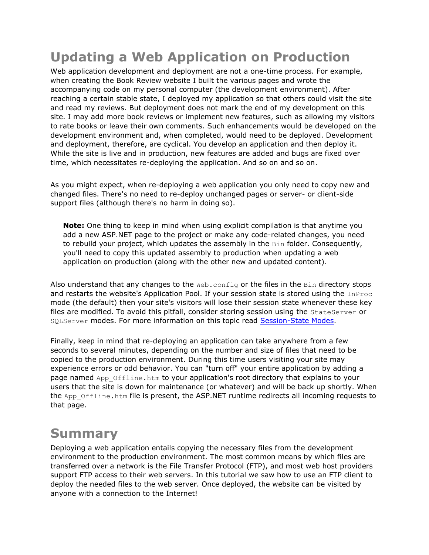## **Updating a Web Application on Production**

Web application development and deployment are not a one-time process. For example, when creating the Book Review website I built the various pages and wrote the accompanying code on my personal computer (the development environment). After reaching a certain stable state, I deployed my application so that others could visit the site and read my reviews. But deployment does not mark the end of my development on this site. I may add more book reviews or implement new features, such as allowing my visitors to rate books or leave their own comments. Such enhancements would be developed on the development environment and, when completed, would need to be deployed. Development and deployment, therefore, are cyclical. You develop an application and then deploy it. While the site is live and in production, new features are added and bugs are fixed over time, which necessitates re-deploying the application. And so on and so on.

As you might expect, when re-deploying a web application you only need to copy new and changed files. There's no need to re-deploy unchanged pages or server- or client-side support files (although there's no harm in doing so).

**Note:** One thing to keep in mind when using explicit compilation is that anytime you add a new ASP.NET page to the project or make any code-related changes, you need to rebuild your project, which updates the assembly in the  $Bin$  folder. Consequently, you'll need to copy this updated assembly to production when updating a web application on production (along with the other new and updated content).

Also understand that any changes to the  $Web.config$  or the files in the  $Bin$  directory stops and restarts the website's Application Pool. If your session state is stored using the InProc mode (the default) then your site's visitors will lose their session state whenever these key files are modified. To avoid this pitfall, consider storing session using the StateServer or SQLServer modes. For more information on this topic read [Session-State Modes.](http://msdn.microsoft.com/en-us/library/ms178586.aspx)

Finally, keep in mind that re-deploying an application can take anywhere from a few seconds to several minutes, depending on the number and size of files that need to be copied to the production environment. During this time users visiting your site may experience errors or odd behavior. You can "turn off" your entire application by adding a page named App Offline.htm to your application's root directory that explains to your users that the site is down for maintenance (or whatever) and will be back up shortly. When the App Offline.htm file is present, the ASP.NET runtime redirects all incoming requests to that page.

## **Summary**

Deploying a web application entails copying the necessary files from the development environment to the production environment. The most common means by which files are transferred over a network is the File Transfer Protocol (FTP), and most web host providers support FTP access to their web servers. In this tutorial we saw how to use an FTP client to deploy the needed files to the web server. Once deployed, the website can be visited by anyone with a connection to the Internet!